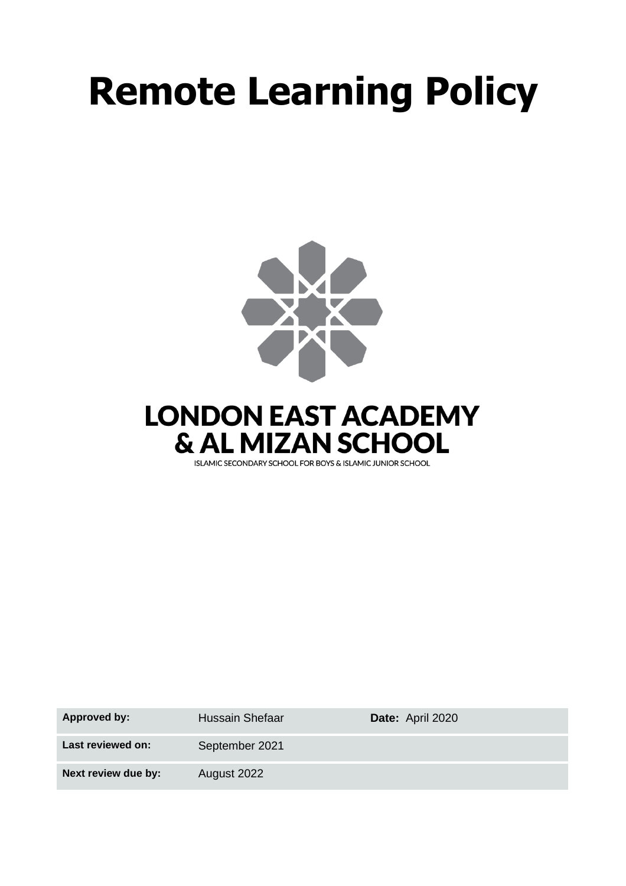# **Remote Learning Policy**





| Approved by:        | Hussain Shefaar | Date: April 2020 |
|---------------------|-----------------|------------------|
| Last reviewed on:   | September 2021  |                  |
| Next review due by: | August 2022     |                  |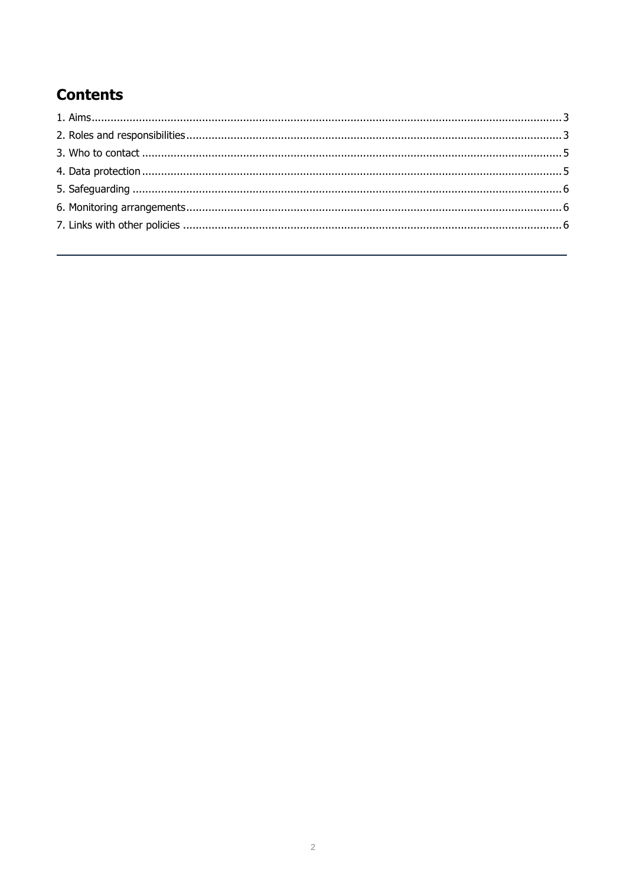# **Contents**

<span id="page-1-0"></span>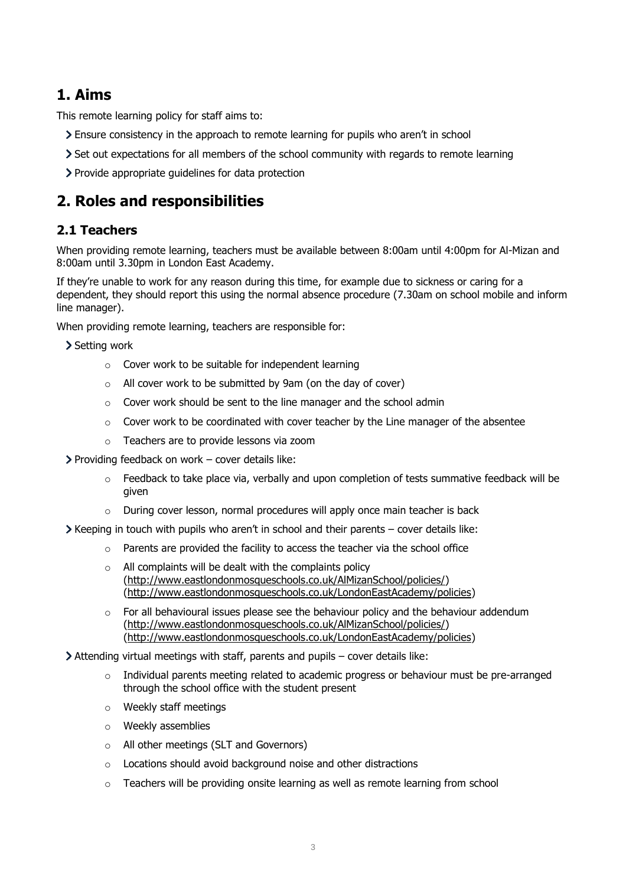# **1. Aims**

This remote learning policy for staff aims to:

- Ensure consistency in the approach to remote learning for pupils who aren't in school
- Set out expectations for all members of the school community with regards to remote learning
- Provide appropriate guidelines for data protection

# <span id="page-2-0"></span>**2. Roles and responsibilities**

#### **2.1 Teachers**

When providing remote learning, teachers must be available between 8:00am until 4:00pm for Al-Mizan and 8:00am until 3.30pm in London East Academy.

If they're unable to work for any reason during this time, for example due to sickness or caring for a dependent, they should report this using the normal absence procedure (7.30am on school mobile and inform line manager).

When providing remote learning, teachers are responsible for:

- > Setting work
	- o Cover work to be suitable for independent learning
	- o All cover work to be submitted by 9am (on the day of cover)
	- o Cover work should be sent to the line manager and the school admin
	- $\circ$  Cover work to be coordinated with cover teacher by the Line manager of the absentee
	- o Teachers are to provide lessons via zoom
- Providing feedback on work cover details like:
	- $\circ$  Feedback to take place via, verbally and upon completion of tests summative feedback will be given
	- $\circ$  During cover lesson, normal procedures will apply once main teacher is back
- $\geq$  Keeping in touch with pupils who aren't in school and their parents cover details like:
	- o Parents are provided the facility to access the teacher via the school office
	- $\circ$  All complaints will be dealt with the complaints policy [\(http://www.eastlondonmosqueschools.co.uk/AlMizanSchool/policies/\)](http://www.eastlondonmosqueschools.co.uk/AlMizanSchool/policies/) [\(http://www.eastlondonmosqueschools.co.uk/LondonEastAcademy/policies\)](http://www.eastlondonmosqueschools.co.uk/LondonEastAcademy/policies)
	- $\circ$  For all behavioural issues please see the behaviour policy and the behaviour addendum [\(http://www.eastlondonmosqueschools.co.uk/AlMizanSchool/policies/\)](http://www.eastlondonmosqueschools.co.uk/AlMizanSchool/policies/) [\(http://www.eastlondonmosqueschools.co.uk/LondonEastAcademy/policies\)](http://www.eastlondonmosqueschools.co.uk/LondonEastAcademy/policies)

Attending virtual meetings with staff, parents and pupils – cover details like:

- $\circ$  Individual parents meeting related to academic progress or behaviour must be pre-arranged through the school office with the student present
- o Weekly staff meetings
- o Weekly assemblies
- o All other meetings (SLT and Governors)
- o Locations should avoid background noise and other distractions
- $\circ$  Teachers will be providing onsite learning as well as remote learning from school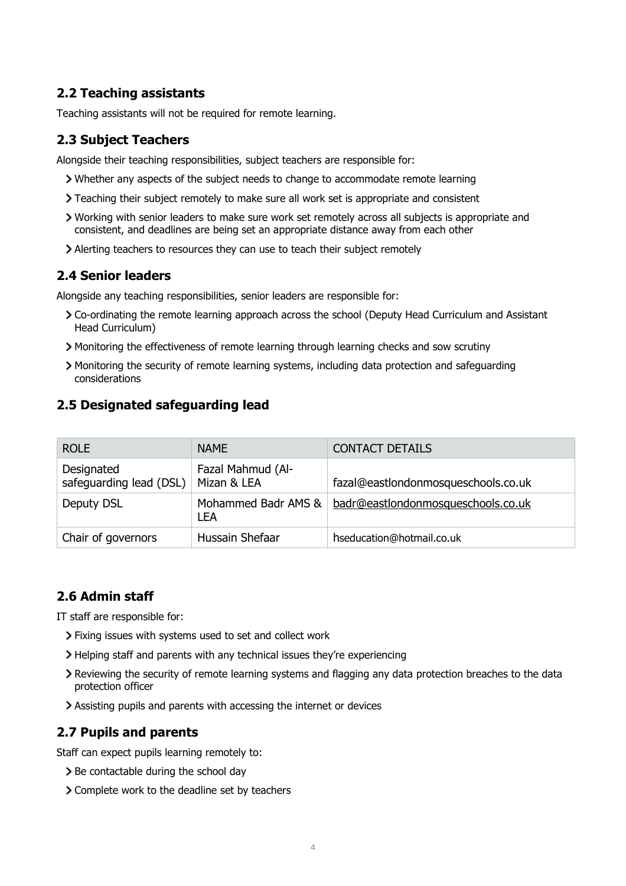#### **2.2 Teaching assistants**

Teaching assistants will not be required for remote learning.

#### **2.3 Subject Teachers**

Alongside their teaching responsibilities, subject teachers are responsible for:

- Whether any aspects of the subject needs to change to accommodate remote learning
- Teaching their subject remotely to make sure all work set is appropriate and consistent
- Working with senior leaders to make sure work set remotely across all subjects is appropriate and consistent, and deadlines are being set an appropriate distance away from each other
- Alerting teachers to resources they can use to teach their subject remotely

#### **2.4 Senior leaders**

Alongside any teaching responsibilities, senior leaders are responsible for:

- Co-ordinating the remote learning approach across the school (Deputy Head Curriculum and Assistant Head Curriculum)
- Monitoring the effectiveness of remote learning through learning checks and sow scrutiny
- Monitoring the security of remote learning systems, including data protection and safeguarding considerations

#### **2.5 Designated safeguarding lead**

| <b>ROLE</b>                           | <b>NAME</b>                      | <b>CONTACT DETAILS</b>                                   |
|---------------------------------------|----------------------------------|----------------------------------------------------------|
| Designated<br>safeguarding lead (DSL) | Fazal Mahmud (Al-<br>Mizan & LEA | fazal@eastlondonmosqueschools.co.uk                      |
| Deputy DSL                            | LEA                              | Mohammed Badr AMS &   badr@eastlondonmosqueschools.co.uk |
| Chair of governors                    | Hussain Shefaar                  | hseducation@hotmail.co.uk                                |

#### **2.6 Admin staff**

IT staff are responsible for:

- Fixing issues with systems used to set and collect work
- Helping staff and parents with any technical issues they're experiencing
- Reviewing the security of remote learning systems and flagging any data protection breaches to the data protection officer
- Assisting pupils and parents with accessing the internet or devices

#### **2.7 Pupils and parents**

Staff can expect pupils learning remotely to:

- > Be contactable during the school day
- Complete work to the deadline set by teachers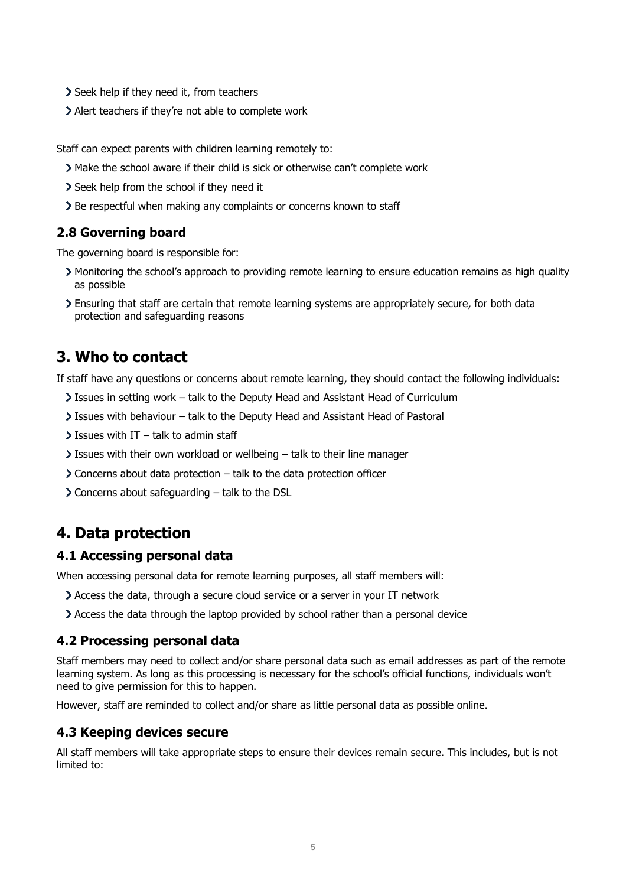- Seek help if they need it, from teachers
- Alert teachers if they're not able to complete work

Staff can expect parents with children learning remotely to:

- Make the school aware if their child is sick or otherwise can't complete work
- > Seek help from the school if they need it
- > Be respectful when making any complaints or concerns known to staff

#### **2.8 Governing board**

The governing board is responsible for:

- Monitoring the school's approach to providing remote learning to ensure education remains as high quality as possible
- Ensuring that staff are certain that remote learning systems are appropriately secure, for both data protection and safeguarding reasons

## <span id="page-4-0"></span>**3. Who to contact**

If staff have any questions or concerns about remote learning, they should contact the following individuals:

- Issues in setting work talk to the Deputy Head and Assistant Head of Curriculum
- Issues with behaviour talk to the Deputy Head and Assistant Head of Pastoral
- $\geq$  Issues with IT talk to admin staff
- Issues with their own workload or wellbeing talk to their line manager
- $\geq$  Concerns about data protection talk to the data protection officer
- $\geq$  Concerns about safeguarding  $-$  talk to the DSL

## <span id="page-4-1"></span>**4. Data protection**

#### **4.1 Accessing personal data**

When accessing personal data for remote learning purposes, all staff members will:

- Access the data, through a secure cloud service or a server in your IT network
- Access the data through the laptop provided by school rather than a personal device

#### **4.2 Processing personal data**

Staff members may need to collect and/or share personal data such as email addresses as part of the remote learning system. As long as this processing is necessary for the school's official functions, individuals won't need to give permission for this to happen.

However, staff are reminded to collect and/or share as little personal data as possible online.

#### **4.3 Keeping devices secure**

All staff members will take appropriate steps to ensure their devices remain secure. This includes, but is not limited to: